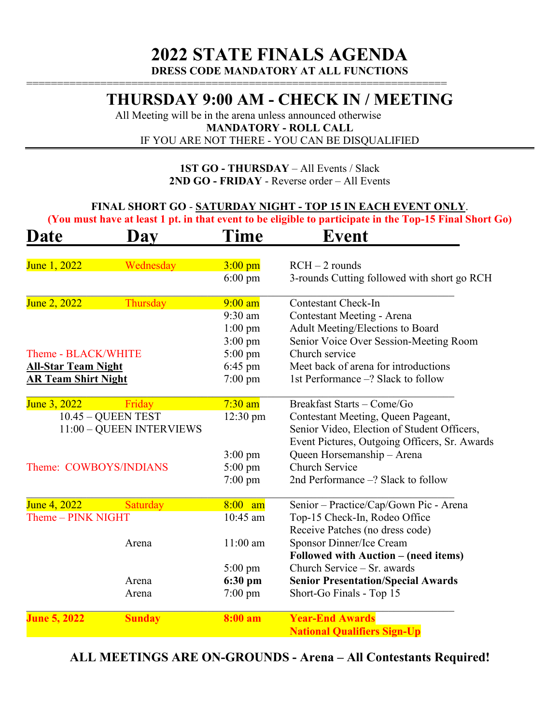### **THURSDAY 9:00 AM - CHECK IN / MEETING**

All Meeting will be in the arena unless announced otherwise **MANDATORY - ROLL CALL** IF YOU ARE NOT THERE - YOU CAN BE DISQUALIFIED

====================================================================

#### **1ST GO - THURSDAY** – All Events / Slack **2ND GO - FRIDAY** - Reverse order – All Events

#### **FINAL SHORT GO** - **SATURDAY NIGHT - TOP 15 IN EACH EVENT ONLY**.

**(You must have at least 1 pt. in that event to be eligible to participate in the Top-15 Final Short Go)** 

| <b>Date</b><br>Day         |                    | Time               | Event                                         |  |  |
|----------------------------|--------------------|--------------------|-----------------------------------------------|--|--|
| June 1, 2022               | Wednesday          | $3:00$ pm          | $RCH - 2$ rounds                              |  |  |
|                            |                    | $6:00 \text{ pm}$  | 3-rounds Cutting followed with short go RCH   |  |  |
| June 2, 2022               | Thursday           | $9:00$ am          | <b>Contestant Check-In</b>                    |  |  |
|                            |                    | 9:30 am            | Contestant Meeting - Arena                    |  |  |
|                            |                    | $1:00$ pm          | Adult Meeting/Elections to Board              |  |  |
|                            |                    | $3:00 \text{ pm}$  | Senior Voice Over Session-Meeting Room        |  |  |
| Theme - BLACK/WHITE        |                    | $5:00 \text{ pm}$  | Church service                                |  |  |
| <b>All-Star Team Night</b> |                    | $6:45$ pm          | Meet back of arena for introductions          |  |  |
| <b>AR Team Shirt Night</b> |                    | $7:00 \text{ pm}$  | 1st Performance -? Slack to follow            |  |  |
| June 3, 2022               | Friday             | $7:30$ am          | Breakfast Starts - Come/Go                    |  |  |
| $10.45 - QUEEN TEST$       |                    | $12:30 \text{ pm}$ | Contestant Meeting, Queen Pageant,            |  |  |
| 11:00 - QUEEN INTERVIEWS   |                    |                    | Senior Video, Election of Student Officers,   |  |  |
|                            |                    |                    | Event Pictures, Outgoing Officers, Sr. Awards |  |  |
|                            |                    | $3:00$ pm          | Queen Horsemanship - Arena                    |  |  |
| Theme: COWBOYS/INDIANS     |                    | $5:00 \text{ pm}$  | <b>Church Service</b>                         |  |  |
|                            |                    | $7:00 \text{ pm}$  | 2nd Performance -? Slack to follow            |  |  |
| June 4, 2022               | Saturday           | $8:00$ am          | Senior - Practice/Cap/Gown Pic - Arena        |  |  |
|                            | Theme - PINK NIGHT |                    | Top-15 Check-In, Rodeo Office                 |  |  |
|                            |                    |                    | Receive Patches (no dress code)               |  |  |
|                            | Arena              | $11:00$ am         | Sponsor Dinner/Ice Cream                      |  |  |
|                            |                    |                    | Followed with Auction – (need items)          |  |  |
|                            |                    | 5:00 pm            | Church Service - Sr. awards                   |  |  |
|                            | Arena              | 6:30 pm            | <b>Senior Presentation/Special Awards</b>     |  |  |
|                            | Arena              | $7:00 \text{ pm}$  | Short-Go Finals - Top 15                      |  |  |
| <b>June 5, 2022</b>        | <b>Sunday</b>      | 8:00 a m           | <b>Year-End Awards</b>                        |  |  |
|                            |                    |                    | <b>National Qualifiers Sign-Up</b>            |  |  |

**ALL MEETINGS ARE ON-GROUNDS - Arena – All Contestants Required!**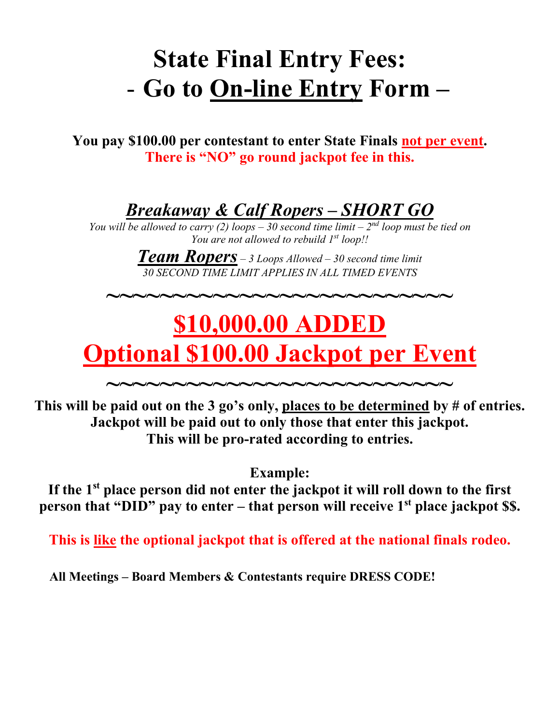## **State Final Entry Fees:** - **Go to On-line Entry Form –**

**You pay \$100.00 per contestant to enter State Finals not per event. There is "NO" go round jackpot fee in this.**

*Breakaway & Calf Ropers – SHORT GO*

*You will be allowed to carry (2) loops – 30 second time limit –*  $2^{nd}$  *loop must be tied on You are not allowed to rebuild 1st loop!!* 

> *Team Ropers – 3 Loops Allowed – 30 second time limit 30 SECOND TIME LIMIT APPLIES IN ALL TIMED EVENTS*

**~~~~~~~~~~~~~~~~~~~~~~~~~~**

# **\$10,000.00 ADDED Optional \$100.00 Jackpot per Event**

**~~~~~~~~~~~~~~~~~~~~~~~~~~ This will be paid out on the 3 go's only, places to be determined by # of entries. Jackpot will be paid out to only those that enter this jackpot. This will be pro-rated according to entries.**

**Example:** 

**If the 1st place person did not enter the jackpot it will roll down to the first person that "DID" pay to enter – that person will receive 1<sup>st</sup> place jackpot \$\$.** 

**This is like the optional jackpot that is offered at the national finals rodeo.** 

**All Meetings – Board Members & Contestants require DRESS CODE!**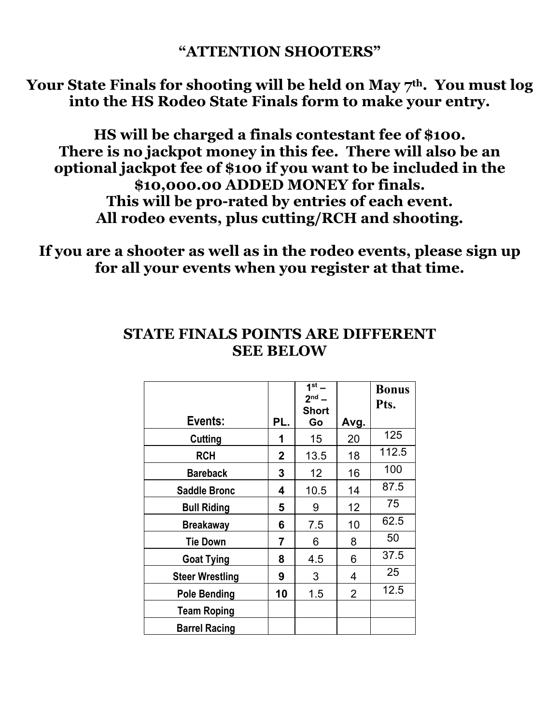#### **"ATTENTION SHOOTERS"**

Your State Finals for shooting will be held on May 7<sup>th</sup>. You must log **into the HS Rodeo State Finals form to make your entry.**

**HS will be charged a finals contestant fee of \$100. There is no jackpot money in this fee. There will also be an optional jackpot fee of \$100 if you want to be included in the \$10,000.00 ADDED MONEY for finals. This will be pro-rated by entries of each event. All rodeo events, plus cutting/RCH and shooting.**

**If you are a shooter as well as in the rodeo events, please sign up for all your events when you register at that time.**

|                        |     | $1st$ –<br>$2nd$ – |                | <b>Bonus</b><br>Pts. |
|------------------------|-----|--------------------|----------------|----------------------|
| Events:                | PL. | <b>Short</b><br>Go | Avg.           |                      |
| Cutting                | 1   | 15                 | 20             | 125                  |
| <b>RCH</b>             | 2   | 13.5               | 18             | 112.5                |
| <b>Bareback</b>        | 3   | 12 <sup>2</sup>    | 16             | 100                  |
| <b>Saddle Bronc</b>    | 4   | 10.5               | 14             | 87.5                 |
| <b>Bull Riding</b>     | 5   | 9                  | 12             | 75                   |
| <b>Breakaway</b>       | 6   | 7.5                | 10             | 62.5                 |
| <b>Tie Down</b>        | 7   | 6                  | 8              | 50                   |
| <b>Goat Tying</b>      | 8   | 4.5                | 6              | 37.5                 |
| <b>Steer Wrestling</b> | 9   | 3                  | 4              | 25                   |
| <b>Pole Bending</b>    | 10  | 1.5                | $\overline{2}$ | 12.5                 |
| <b>Team Roping</b>     |     |                    |                |                      |
| <b>Barrel Racing</b>   |     |                    |                |                      |

### **STATE FINALS POINTS ARE DIFFERENT SEE BELOW**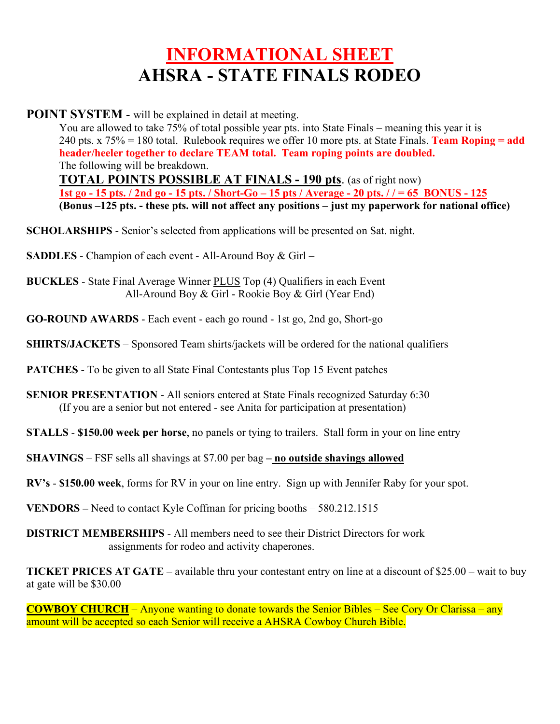### **INFORMATIONAL SHEET AHSRA - STATE FINALS RODEO**

**POINT SYSTEM** - will be explained in detail at meeting.

You are allowed to take 75% of total possible year pts. into State Finals – meaning this year it is 240 pts. x 75% = 180 total. Rulebook requires we offer 10 more pts. at State Finals. **Team Roping = add header/heeler together to declare TEAM total. Team roping points are doubled.**  The following will be breakdown. **TOTAL POINTS POSSIBLE AT FINALS - 190 pts**. (as of right now) **1st go - 15 pts. / 2nd go - 15 pts. / Short-Go – 15 pts / Average - 20 pts. / / = 65 BONUS - 125 (Bonus –125 pts. - these pts. will not affect any positions – just my paperwork for national office)** 

**SCHOLARSHIPS** - Senior's selected from applications will be presented on Sat. night.

**SADDLES** - Champion of each event - All-Around Boy & Girl –

**BUCKLES** - State Final Average Winner PLUS Top (4) Qualifiers in each Event All-Around Boy & Girl - Rookie Boy & Girl (Year End)

**GO-ROUND AWARDS** - Each event - each go round - 1st go, 2nd go, Short-go

**SHIRTS/JACKETS** – Sponsored Team shirts/jackets will be ordered for the national qualifiers

**PATCHES** - To be given to all State Final Contestants plus Top 15 Event patches

**SENIOR PRESENTATION** - All seniors entered at State Finals recognized Saturday 6:30 (If you are a senior but not entered - see Anita for participation at presentation)

**STALLS** - **\$150.00 week per horse**, no panels or tying to trailers. Stall form in your on line entry

**SHAVINGS** – FSF sells all shavings at \$7.00 per bag **– no outside shavings allowed**

**RV's** - **\$150.00 week**, forms for RV in your on line entry. Sign up with Jennifer Raby for your spot.

**VENDORS –** Need to contact Kyle Coffman for pricing booths – 580.212.1515

**DISTRICT MEMBERSHIPS** - All members need to see their District Directors for work assignments for rodeo and activity chaperones.

**TICKET PRICES AT GATE** – available thru your contestant entry on line at a discount of \$25.00 – wait to buy at gate will be \$30.00

**COWBOY CHURCH** – Anyone wanting to donate towards the Senior Bibles – See Cory Or Clarissa – any amount will be accepted so each Senior will receive a AHSRA Cowboy Church Bible.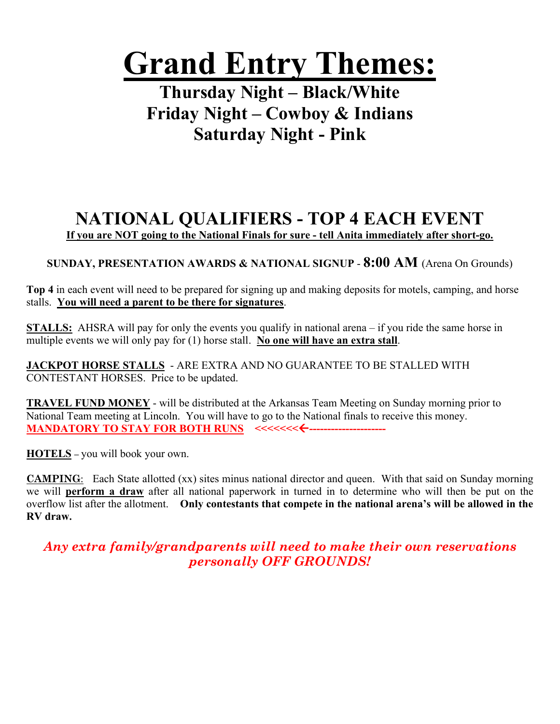# **Grand Entry Themes:**

**Thursday Night – Black/White Friday Night – Cowboy & Indians Saturday Night - Pink**

### **NATIONAL QUALIFIERS - TOP 4 EACH EVENT**

**If you are NOT going to the National Finals for sure - tell Anita immediately after short-go.**

**SUNDAY, PRESENTATION AWARDS & NATIONAL SIGNUP** - **8:00 AM** (Arena On Grounds)

**Top 4** in each event will need to be prepared for signing up and making deposits for motels, camping, and horse stalls. **You will need a parent to be there for signatures**.

**STALLS:** AHSRA will pay for only the events you qualify in national arena – if you ride the same horse in multiple events we will only pay for (1) horse stall. **No one will have an extra stall**.

**JACKPOT HORSE STALLS** - ARE EXTRA AND NO GUARANTEE TO BE STALLED WITH CONTESTANT HORSES. Price to be updated.

**TRAVEL FUND MONEY** - will be distributed at the Arkansas Team Meeting on Sunday morning prior to National Team meeting at Lincoln. You will have to go to the National finals to receive this money. **MANDATORY TO STAY FOR BOTH RUNS <<<<<<<----**

**HOTELS –** you will book your own.

**CAMPING**: Each State allotted (xx) sites minus national director and queen. With that said on Sunday morning we will **perform a draw** after all national paperwork in turned in to determine who will then be put on the overflow list after the allotment. **Only contestants that compete in the national arena's will be allowed in the RV draw.**

*Any extra family/grandparents will need to make their own reservations personally OFF GROUNDS!*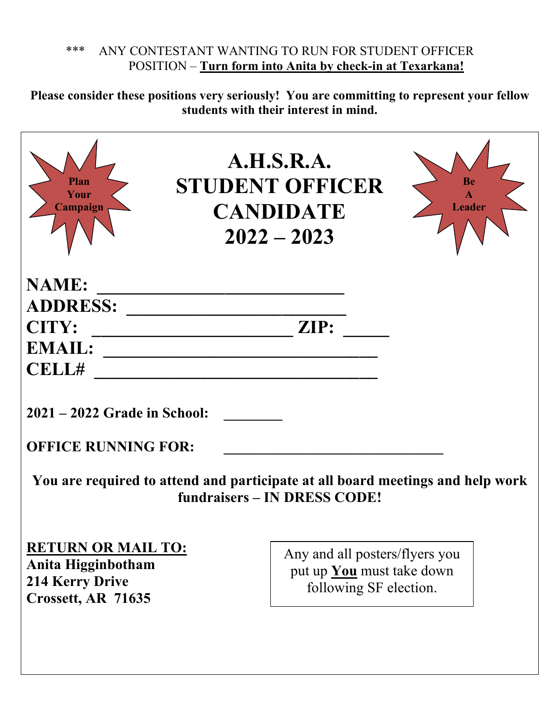#### \*\*\* ANY CONTESTANT WANTING TO RUN FOR STUDENT OFFICER POSITION – **Turn form into Anita by check-in at Texarkana!**

**Please consider these positions very seriously! You are committing to represent your fellow students with their interest in mind.** 

| Plan<br>Your<br>Campaign                                                                        | A.H.S.R.A.<br><b>STUDENT OFFICER</b><br><b>CANDIDATE</b><br>$2022 - 2023$                    | <b>Leader</b>                                                                  |
|-------------------------------------------------------------------------------------------------|----------------------------------------------------------------------------------------------|--------------------------------------------------------------------------------|
| <b>NAME:</b>                                                                                    |                                                                                              |                                                                                |
| <b>ADDRESS:</b>                                                                                 |                                                                                              |                                                                                |
| <b>CITY:</b>                                                                                    | ZIP:                                                                                         |                                                                                |
| <b>EMAIL:</b>                                                                                   |                                                                                              |                                                                                |
| <b>CELL#</b>                                                                                    |                                                                                              |                                                                                |
| 2021 – 2022 Grade in School:<br><b>OFFICE RUNNING FOR:</b>                                      | fundraisers – IN DRESS CODE!                                                                 | You are required to attend and participate at all board meetings and help work |
| <b>RETURN OR MAIL TO:</b><br>Anita Higginbotham<br><b>214 Kerry Drive</b><br>Crossett, AR 71635 | Any and all posters/flyers you<br>put up <b>You</b> must take down<br>following SF election. |                                                                                |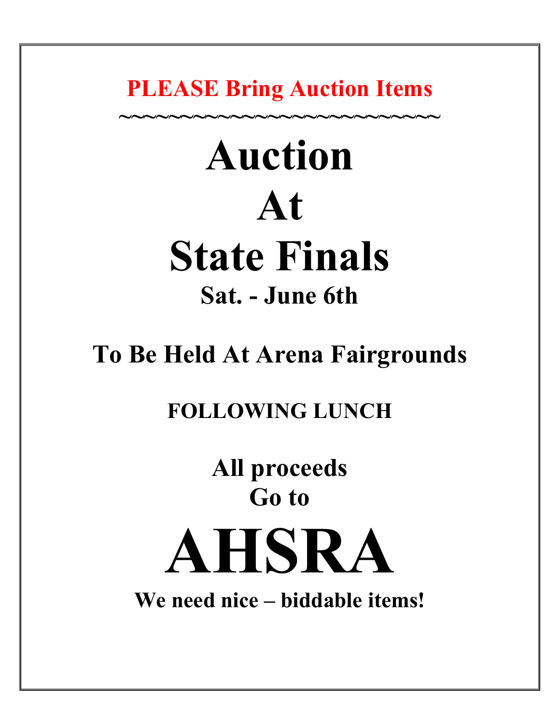**PLEASE Bring Auction Items**

**~~~~~~~~~~~~~~~~~~~~~~~~~~**

# **Auction At State Finals Sat. - June 6th**

# **To Be Held At Arena Fairgrounds**

## **FOLLOWING LUNCH**

**All proceeds Go to** 

**AHSRA** 

**We need nice – biddable items!**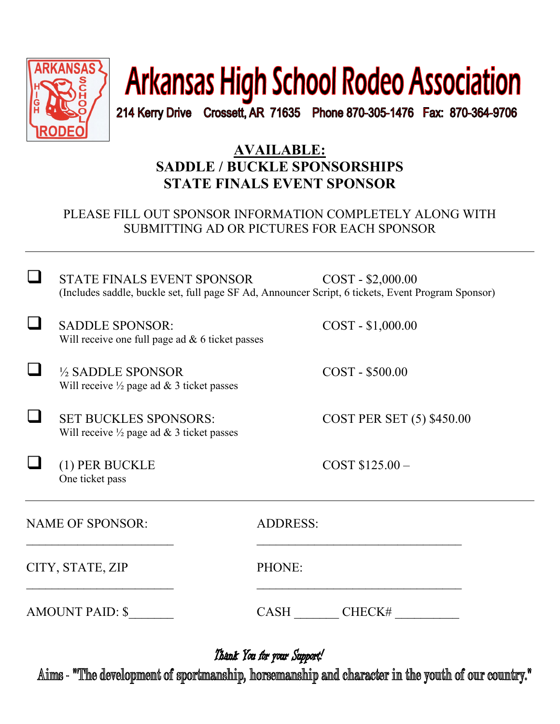

# **Arkansas High School Rodeo Association**

214 Kerry Drive Crossett, AR 71635 Phone 870-305-1476 Fax: 870-364-9706

### **AVAILABLE: SADDLE / BUCKLE SPONSORSHIPS STATE FINALS EVENT SPONSOR**

#### PLEASE FILL OUT SPONSOR INFORMATION COMPLETELY ALONG WITH SUBMITTING AD OR PICTURES FOR EACH SPONSOR

STATE FINALS EVENT SPONSOR COST - \$2,000.00 (Includes saddle, buckle set, full page SF Ad, Announcer Script, 6 tickets, Event Program Sponsor)

SADDLE SPONSOR: COST - \$1,000.00 Will receive one full page ad & 6 ticket passes

 ½ SADDLE SPONSOR COST - \$500.00 Will receive  $\frac{1}{2}$  page ad & 3 ticket passes

SET BUCKLES SPONSORS: COST PER SET (5) \$450.00 Will receive  $\frac{1}{2}$  page ad & 3 ticket passes

(1) PER BUCKLE  $\qquad \qquad \text{COST } $125.00 -$ One ticket pass

NAME OF SPONSOR: ADDRESS:

CITY, STATE, ZIP PHONE:

 $\overline{\phantom{a}}$  , and the contract of the contract of the contract of the contract of the contract of the contract of the contract of the contract of the contract of the contract of the contract of the contract of the contrac

AMOUNT PAID: \$  $CASH$  CHECK#

 $\overline{\phantom{a}}$  , and the contribution of the contribution of the contribution of the contribution of the contribution of the contribution of the contribution of the contribution of the contribution of the contribution of the

Thank You for your Support!

Aims - "The development of sportmanship, horsemanship and character in the youth of our country."